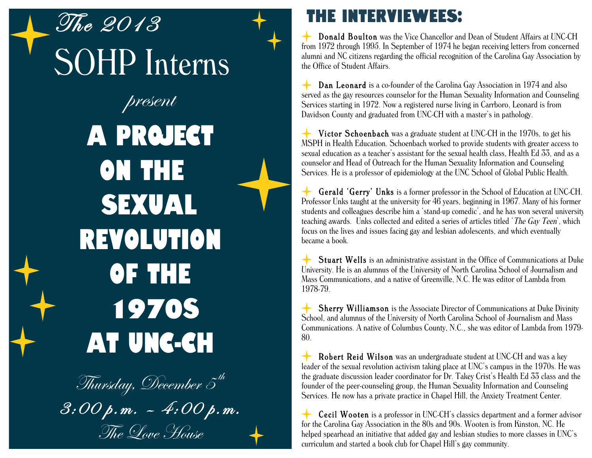The 2013 SOHP Interns present A Project on the Sexual Revolution of the 1970s at UNC-CH

Thursday, December  $\tilde{\mathcal{5}}^{\prime h}$ 3:00 p.m. – 4:00 p.m. The Love House

## The Interviewees:

Donald Boulton was the Vice Chancellor and Dean of Student Affairs at UNC-CH from 1972 through 1995. In September of 1974 he began receiving letters from concerned alumni and NC citizens regarding the official recognition of the Carolina Gay Association by the Office of Student Affairs.

Dan Leonard is a co-founder of the Carolina Gay Association in 1974 and also served as the gay resources counselor for the Human Sexuality Information and Counseling Services starting in 1972. Now a registered nurse living in Carrboro, Leonard is from Davidson County and graduated from UNC-CH with a master's in pathology.

Victor Schoenbach was a graduate student at UNC-CH in the 1970s, to get his MSPH in Health Education. Schoenbach worked to provide students with greater access to sexual education as a teacher's assistant for the sexual health class, Health Ed 33, and as a counselor and Head of Outreach for the Human Sexuality Information and Counseling Services. He is a professor of epidemiology at the UNC School of Global Public Health.

Gerald 'Gerry' Unks is a former professor in the School of Education at UNC-CH. Professor Unks taught at the university for 46 years, beginning in 1967. Many of his former students and colleagues describe him a 'stand-up comedic', and he has won several university teaching awards. Unks collected and edited a series of articles titled 'The Gay Teen', which focus on the lives and issues facing gay and lesbian adolescents, and which eventually became a book.

Stuart Wells is an administrative assistant in the Office of Communications at Duke University. He is an alumnus of the University of North Carolina School of Journalism and Mass Communications, and a native of Greenville, N.C. He was editor of Lambda from 1978-79.

Sherry Williamson is the Associate Director of Communications at Duke Divinity School, and alumnus of the University of North Carolina School of Journalism and Mass Communications. A native of Columbus County, N.C., she was editor of Lambda from 1979- 80.

Robert Reid Wilson was an undergraduate student at UNC-CH and was a key leader of the sexual revolution activism taking place at UNC's campus in the 1970s. He was the graduate discussion leader coordinator for Dr. Takey Crist's Health Ed 33 class and the founder of the peer-counseling group, the Human Sexuality Information and Counseling Services. He now has a private practice in Chapel Hill, the Anxiety Treatment Center.

Cecil Wooten is a professor in UNC-CH's classics department and a former advisor for the Carolina Gay Association in the 80s and 90s. Wooten is from Kinston, NC. He helped spearhead an initiative that added gay and lesbian studies to more classes in UNC's curriculum and started a book club for Chapel Hill's gay community.